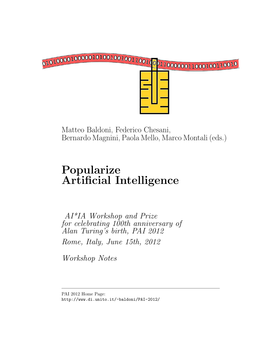

Matteo Baldoni, Federico Chesani, Bernardo Magnini, Paola Mello, Marco Montali (eds.)

# Popularize Artificial Intelligence

AI\*IA Workshop and Prize for celebrating 100th anniversary of Alan Turing's birth, PAI 2012 Rome, Italy, June 15th, 2012

Workshop Notes

PAI 2012 Home Page: http://www.di.unito.it/~baldoni/PAI-2012/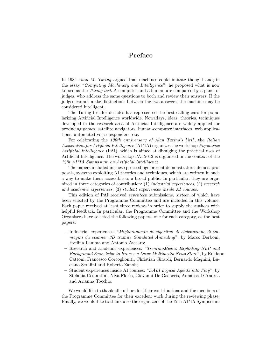#### Preface

In 1934 Alan M. Turing argued that machines could imitate thought and, in the essay "Computing Machinery and Intelligence", he proposed what is now known as the Turing test. A computer and a human are compared by a panel of judges, who address the same questions to both and review their answers. If the judges cannot make distinctions between the two answers, the machine may be considered intelligent.

The Turing test for decades has represented the best calling card for popularizing Artificial Intelligence worldwide. Nowadays, ideas, theories, techniques developed in the research area of Artificial Intelligence are widely applied for producing games, satellite navigators, human-computer interfaces, web applications, automated voice responders, etc.

For celebrating the 100th anniversary of Alan Turing's birth, the Italian Association for Artificial Intelligence (AI\*IA) organizes the workshop Popularize Artificial Intelligence (PAI), which is aimed at divulging the practical uses of Artificial Intelligence. The workshop PAI 2012 is organized in the context of the 12th AI\*IA Symposium on Artificial Intelligence.

The papers included in these proceedings present demonstrators, demos, proposals, systems exploiting AI theories and techniques, which are written in such a way to make them accessible to a broad public. In particular, they are organized in three categories of contribution: (1) industrial experiences, (2) research and academic experiences, (3) student experiences inside AI courses.

This edition of PAI received seventeen submissions, sixteen of which have been selected by the Programme Committee and are included in this volume. Each paper received at least three reviews in order to supply the authors with helpful feedback. In particular, the Programme Committee and the Workshop Organisers have selected the following papers, one for each category, as the best papers:

- Industrial experiences: "Miglioramento di algoritmi di elaborazione di immagini da scanner 3D tramite Simulated Annealing", by Marco Derboni, Evelina Lamma and Antonio Zaccaro;
- Research and academic experiences: "TrentinoMedia: Exploiting NLP and Background Knowledge to Browse a Large Multimedia News Store", by Roldano Cattoni, Francesco Corcoglioniti, Christian Girardi, Bernardo Magnini, Luciano Serafini and Roberto Zanoli;
- Student experiences inside AI courses: "DALI Logical Agents into Play", by Stefania Costantini, Niva Florio, Giovanni De Gasperis, Annalisa D'Andrea and Arianna Tocchio.

We would like to thank all authors for their contributions and the members of the Programme Committee for their excellent work during the reviewing phase. Finally, we would like to thank also the organizers of the 12th AI\*IA Symposium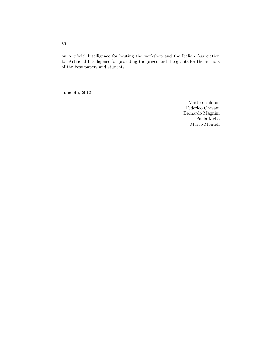on Artificial Intelligence for hosting the workshop and the Italian Association for Artificial Intelligence for providing the prizes and the grants for the authors of the best papers and students.

June 6th, 2012

Matteo Baldoni Federico Chesani Bernardo Magnini Paola Mello Marco Montali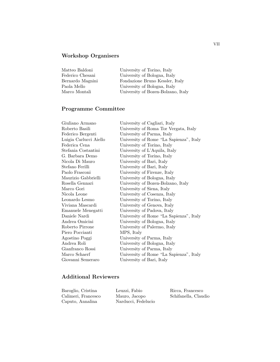## Workshop Organisers

| Matteo Baldoni   | University of Torino, Italy        |
|------------------|------------------------------------|
| Federico Chesani | University of Bologna, Italy       |
| Bernardo Magnini | Fondazione Bruno Kessler, Italy    |
| Paola Mello      | University of Bologna, Italy       |
| Marco Montali    | University of Bozen-Bolzano, Italy |

## Programme Committee

| Giuliano Armano        | University of Cagliari, Italy           |
|------------------------|-----------------------------------------|
| Roberto Basili         | University of Roma Tor Vergata, Italy   |
| Federico Bergenti      | University of Parma, Italy              |
| Luigia Carlucci Aiello | University of Rome "La Sapienza", Italy |
| Federica Cena          | University of Torino, Italy             |
| Stefania Costantini    | University of L'Aquila, Italy           |
| G. Barbara Demo        | University of Torino, Italy             |
| Nicola Di Mauro        | University of Bari, Italy               |
| Stefano Ferilli        | University of Bari, Italy               |
| Paolo Frasconi         | University of Firenze, Italy            |
| Maurizio Gabbrielli    | University of Bologna, Italy            |
| Rosella Gennari        | University of Bozen-Bolzano, Italy      |
| Marco Gori             | University of Siena, Italy              |
| Nicola Leone           | University of Cosenza, Italy            |
| Leonardo Lesmo         | University of Torino, Italy             |
| Viviana Mascardi       | University of Genova, Italy             |
| Emanuele Menegatti     | University of Padova, Italy             |
| Daniele Nardi          | University of Rome "La Sapienza", Italy |
| Andrea Omicini         | University of Bologna, Italy            |
| Roberto Pirrone        | University of Palermo, Italy            |
| Piero Poccianti        | MPS, Italy                              |
| Agostino Poggi         | University of Parma, Italy              |
| Andrea Roli            | University of Bologna, Italy            |
| Gianfranco Rossi       | University of Parma, Italy              |
| Marco Schaerf          | University of Rome "La Sapienza", Italy |
| Giovanni Semeraro      | University of Bari, Italy               |
|                        |                                         |

#### Additional Reviewers

| Baroglio, Cristina  | Leuzzi, Fabio       | Ricca, Francesco     |
|---------------------|---------------------|----------------------|
| Calimeri, Francesco | Mauro, Jacopo       | Schifanella, Claudio |
| Caputo, Annalina    | Narducci, Fedelucio |                      |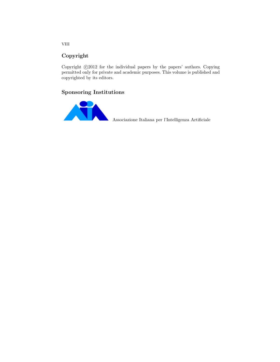#### Copyright

Copyright  $\odot$ 2012 for the individual papers by the papers' authors. Copying permitted only for private and academic purposes. This volume is published and copyrighted by its editors.

#### Sponsoring Institutions



Associazione Italiana per l'Intelligenza Artificiale

VIII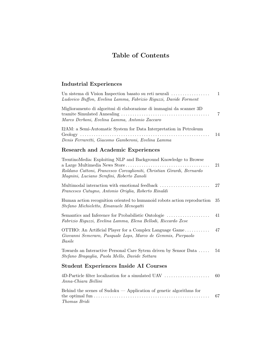# Table of Contents

# Industrial Experiences

| Un sistema di Vision Inspection basato su reti neurali<br>Ludovico Buffon, Evelina Lamma, Fabrizio Riguzzi, Davide Forment                                                             | $\mathbf{1}$ |
|----------------------------------------------------------------------------------------------------------------------------------------------------------------------------------------|--------------|
| Miglioramento di algoritmi di elaborazione di immagini da scanner 3D<br>Marco Derboni, Evelina Lamma, Antonio Zaccaro                                                                  | 7            |
| I2AM: a Semi-Automatic System for Data Interpretation in Petroleum<br>Denis Ferraretti, Giacomo Gamberoni, Evelina Lamma                                                               | 14           |
| <b>Research and Academic Experiences</b>                                                                                                                                               |              |
| TrentinoMedia: Exploiting NLP and Background Knowledge to Browse<br>Roldano Cattoni, Francesco Corcoglioniti, Christian Girardi, Bernardo<br>Magnini, Luciano Serafini, Roberto Zanoli | 21           |
| Multimodal interaction with emotional feedback<br>Francesco Cutugno, Antonio Origlia, Roberto Rinaldi                                                                                  | 27           |
| Human action recognition oriented to humanoid robots action reproduction<br>Stefano Michieletto, Emanuele Menegatti                                                                    | 35           |
| Semantics and Inference for Probabilistic Ontologie<br>Fabrizio Riguzzi, Evelina Lamma, Elena Bellodi, Riccardo Zese                                                                   | 41           |
| OTTHO: An Artificial Player for a Complex Language Game<br>Giovanni Semeraro, Pasquale Lops, Marco de Gemmis, Pierpaolo<br><b>Basile</b>                                               | 47           |
| Towards an Interactive Personal Care Sytem driven by Sensor Data<br>Stefano Bragaglia, Paola Mello, Davide Sottara                                                                     | 54           |
| <b>Student Experiences Inside AI Courses</b>                                                                                                                                           |              |
| 4D-Particle filter localization for a simulated UAV<br>Anna-Chiara Bellini                                                                                                             | 60           |
| Behind the scenes of Sudoku $-$ Application of genetic algorithms for<br>Thomas Bridi                                                                                                  | 67           |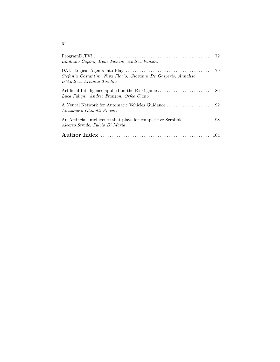| Emiliano Caponi, Irene Fabrini, Andrea Vanzou                                                     | 72 |
|---------------------------------------------------------------------------------------------------|----|
| Stefania Costantini, Niva Florio, Giovanni De Gasperis, Annalisa<br>D'Andrea, Arianna Tocchio     | 79 |
| Artificial Intelligence applied on the Risk! game<br>Luca Fuligni, Andrea Franzon, Orfeo Ciano    | 86 |
| A Neural Network for Automatic Vehicles Guidance<br>Alessandro Ghidotti Piovan                    | 92 |
| An Artificial Intelligence that plays for competitive Scrabble<br>Alberto Strade, Fulvio Di Maria | 98 |
|                                                                                                   |    |

X